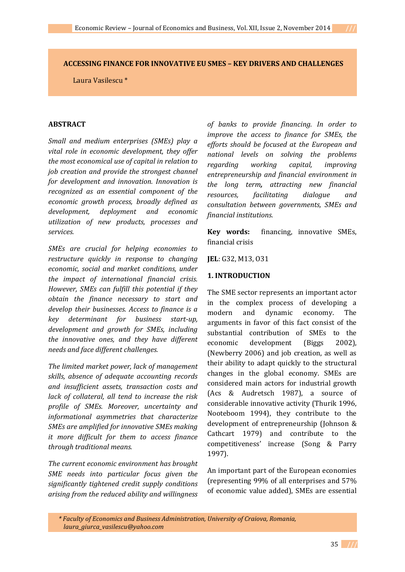# **ACCESSING FINANCE FOR INNOVATIVE EU SMES – KEY DRIVERS AND CHALLENGES**

Laura Vasilescu \*

## **ABSTRACT**

*Small and medium enterprises (SMEs) play a vital role in economic development, they offer the most economical use of capital in relation to job creation and provide the strongest channel for development and innovation. Innovation is recognized as an essential component of the economic growth process, broadly defined as development, deployment and economic utilization of new products, processes and services.* 

*SMEs are crucial for helping economies to restructure quickly in response to changing economic, social and market conditions, under the impact of international financial crisis. However, SMEs can fulfill this potential if they obtain the finance necessary to start and develop their businesses. Access to finance is a key determinant for business start-up, development and growth for SMEs, including the innovative ones, and they have different needs and face different challenges.* 

*The limited market power, lack of management skills, absence of adequate accounting records and insufficient assets, transaction costs and lack of collateral, all tend to increase the risk profile of SMEs. Moreover, uncertainty and informational asymmetries that characterize SMEs are amplified for innovative SMEs making it more difficult for them to access finance through traditional means.* 

*The current economic environment has brought SME needs into particular focus given the significantly tightened credit supply conditions arising from the reduced ability and willingness* 

*of banks to provide financing. In order to improve the access to finance for SMEs, the efforts should be focused at the European and national levels on solving the problems regarding working capital, improving entrepreneurship and financial environment in the long term, attracting new financial resources, facilitating dialogue and consultation between governments, SMEs and financial institutions.* 

**Key words:** financing, innovative SMEs, financial crisis

**JEL**: G32, M13, O31

#### **1. INTRODUCTION**

The SME sector represents an important actor in the complex process of developing a modern and dynamic economy. The arguments in favor of this fact consist of the substantial contribution of SMEs to the economic development (Biggs 2002), (Newberry 2006) and job creation, as well as their ability to adapt quickly to the structural changes in the global economy. SMEs are considered main actors for industrial growth (Acs & Audretsch 1987), a source of considerable innovative activity (Thurik 1996, Nooteboom 1994), they contribute to the development of entrepreneurship (Johnson & Cathcart 1979) and contribute to the competitiveness' increase (Song & Parry 1997).

An important part of the European economies (representing 99% of all enterprises and 57% of economic value added), SMEs are essential

*\* Faculty of Economics and Business Administration, University of Craiova, Romania, laura\_giurca\_vasilescu@yahoo.com*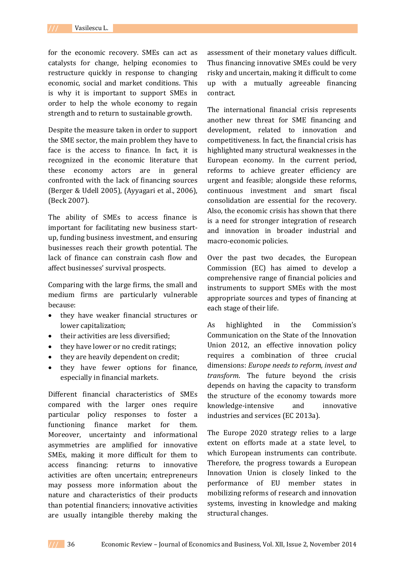for the economic recovery. SMEs can act as catalysts for change, helping economies to restructure quickly in response to changing economic, social and market conditions. This is why it is important to support SMEs in order to help the whole economy to regain strength and to return to sustainable growth.

Despite the measure taken in order to support the SME sector, the main problem they have to face is the access to finance. In fact, it is recognized in the economic literature that these economy actors are in general confronted with the lack of financing sources (Berger & Udell 2005), (Ayyagari et al., 2006), (Beck 2007).

The ability of SMEs to access finance is important for facilitating new business startup, funding business investment, and ensuring businesses reach their growth potential. The lack of finance can constrain cash flow and affect businesses' survival prospects.

Comparing with the large firms, the small and medium firms are particularly vulnerable because:

- they have weaker financial structures or lower capitalization;
- their activities are less diversified;
- they have lower or no credit ratings;
- they are heavily dependent on credit;
- they have fewer options for finance, especially in financial markets.

Different financial characteristics of SMEs compared with the larger ones require particular policy responses to foster a functioning finance market for them. Moreover, uncertainty and informational asymmetries are amplified for innovative SMEs, making it more difficult for them to access financing: returns to innovative activities are often uncertain; entrepreneurs may possess more information about the nature and characteristics of their products than potential financiers; innovative activities are usually intangible thereby making the

assessment of their monetary values difficult. Thus financing innovative SMEs could be very risky and uncertain, making it difficult to come up with a mutually agreeable financing contract.

The international financial crisis represents another new threat for SME financing and development, related to innovation and competitiveness. In fact, the financial crisis has highlighted many structural weaknesses in the European economy. In the current period, reforms to achieve greater efficiency are urgent and feasible; alongside these reforms, continuous investment and smart fiscal consolidation are essential for the recovery. Also, the economic crisis has shown that there is a need for stronger integration of research and innovation in broader industrial and macro-economic policies.

Over the past two decades, the European Commission (EC) has aimed to develop a comprehensive range of financial policies and instruments to support SMEs with the most appropriate sources and types of financing at each stage of their life.

As highlighted in the Commission's Communication on the State of the Innovation Union 2012, an effective innovation policy requires a combination of three crucial dimensions: *Europe needs to reform, invest and transform*. The future beyond the crisis depends on having the capacity to transform the structure of the economy towards more knowledge-intensive and innovative industries and services (EC 2013a).

The Europe 2020 strategy relies to a large extent on efforts made at a state level, to which European instruments can contribute. Therefore, the progress towards a European Innovation Union is closely linked to the performance of EU member states in mobilizing reforms of research and innovation systems, investing in knowledge and making structural changes.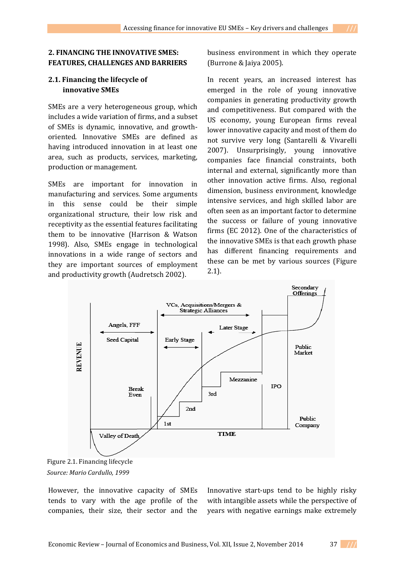# **2.1. Financing the lifecycle of innovative SMEs**

SMEs are a very heterogeneous group, which includes a wide variation of firms, and a subset of SMEs is dynamic, innovative, and growthoriented. Innovative SMEs are defined as having introduced innovation in at least one area, such as products, services, marketing, production or management.

SMEs are important for innovation in manufacturing and services. Some arguments in this sense could be their simple organizational structure, their low risk and receptivity as the essential features facilitating them to be innovative (Harrison & Watson 1998). Also, SMEs engage in technological innovations in a wide range of sectors and they are important sources of employment and productivity growth (Audretsch 2002).

business environment in which they operate (Burrone & Jaiya 2005).

In recent years, an increased interest has emerged in the role of young innovative companies in generating productivity growth and competitiveness. But compared with the US economy, young European firms reveal lower innovative capacity and most of them do not survive very long (Santarelli & Vivarelli 2007). Unsurprisingly, young innovative companies face financial constraints, both internal and external, significantly more than other innovation active firms. Also, regional dimension, business environment, knowledge intensive services, and high skilled labor are often seen as an important factor to determine the success or failure of young innovative firms (EC 2012). One of the characteristics of the innovative SMEs is that each growth phase has different financing requirements and these can be met by various sources (Figure 2.1).



Figure 2.1. Financing lifecycle *Source: Mario Cardullo, 1999*

However, the innovative capacity of SMEs tends to vary with the age profile of the companies, their size, their sector and the

Innovative start-ups tend to be highly risky with intangible assets while the perspective of years with negative earnings make extremely

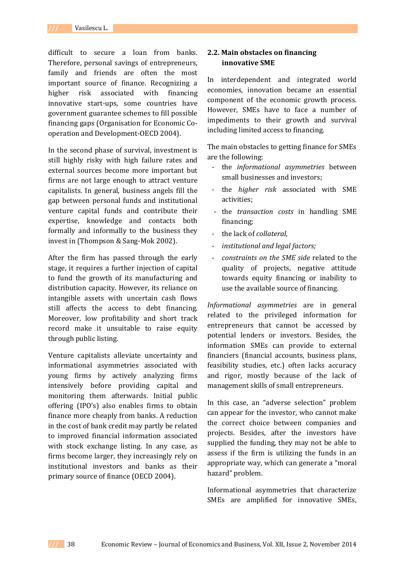difficult to secure a loan from banks. Therefore, personal savings of entrepreneurs, family and friends are often the most important source of finance. Recognizing a higher risk associated with financing innovative start-ups, some countries have government guarantee schemes to fill possible financing gaps (Organisation for Economic Cooperation and Development-OECD 2004).

In the second phase of survival, investment is still highly risky with high failure rates and external sources become more important but firms are not large enough to attract venture capitalists. In general, business angels fill the gap between personal funds and institutional venture capital funds and contribute their expertise, knowledge and contacts both formally and informally to the business they invest in (Thompson & Sang-Mok 2002).

After the firm has passed through the early stage, it requires a further injection of capital to fund the growth of its manufacturing and distribution capacity. However, its reliance on intangible assets with uncertain cash flows still affects the access to debt financing. Moreover, low profitability and short track record make it unsuitable to raise equity through public listing.

Venture capitalists alleviate uncertainty and informational asymmetries associated with young firms by actively analyzing firms intensively before providing capital and monitoring them afterwards. Initial public offering (IPO's) also enables firms to obtain finance more cheaply from banks. A reduction in the cost of bank credit may partly be related to improved financial information associated with stock exchange listing. In any case, as firms become larger, they increasingly rely on institutional investors and banks as their primary source of finance (OECD 2004).

## **2.2. Main obstacles on financing innovative SME**

In interdependent and integrated world economies, innovation became an essential component of the economic growth process. However, SMEs have to face a number of impediments to their growth and survival including limited access to financing.

The main obstacles to getting finance for SMEs are the following:

- the *informational asymmetries* between small businesses and investors;
- the *higher risk* associated with SME activities;
- the *transaction costs* in handling SME financing;
- the lack of *collateral*,
- *institutional and legal factors;*
- *constraints on the SME side* related to the quality of projects, negative attitude towards equity financing or inability to use the available source of financing.

*Informational asymmetries* are in general related to the privileged information for entrepreneurs that cannot be accessed by potential lenders or investors. Besides, the information SMEs can provide to external financiers (financial accounts, business plans, feasibility studies, etc.) often lacks accuracy and rigor, mostly because of the lack of management skills of small entrepreneurs.

In this case, an "adverse selection" problem can appear for the investor, who cannot make the correct choice between companies and projects. Besides, after the investors have supplied the funding, they may not be able to assess if the firm is utilizing the funds in an appropriate way, which can generate a "moral hazard" problem.

Informational asymmetries that characterize SMEs are amplified for innovative SMEs,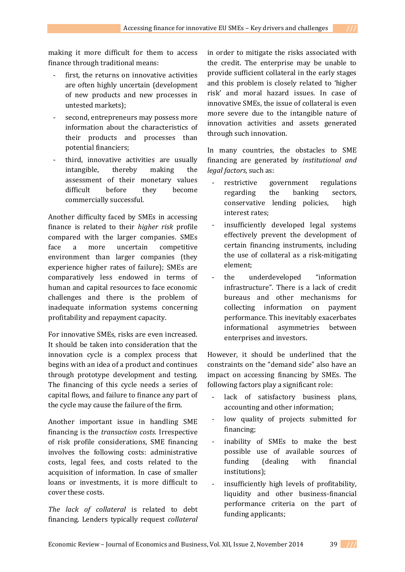making it more difficult for them to access finance through traditional means:

- first, the returns on innovative activities are often highly uncertain (development of new products and new processes in untested markets);
- second, entrepreneurs may possess more information about the characteristics of their products and processes than potential financiers;
- third, innovative activities are usually intangible, thereby making the assessment of their monetary values difficult before they become commercially successful.

Another difficulty faced by SMEs in accessing finance is related to their *higher risk* profile compared with the larger companies. SMEs face a more uncertain competitive environment than larger companies (they experience higher rates of failure); SMEs are comparatively less endowed in terms of human and capital resources to face economic challenges and there is the problem of inadequate information systems concerning profitability and repayment capacity.

For innovative SMEs, risks are even increased. It should be taken into consideration that the innovation cycle is a complex process that begins with an idea of a product and continues through prototype development and testing. The financing of this cycle needs a series of capital flows, and failure to finance any part of the cycle may cause the failure of the firm.

Another important issue in handling SME financing is the *transaction costs.* Irrespective of risk profile considerations, SME financing involves the following costs: administrative costs, legal fees, and costs related to the acquisition of information. In case of smaller loans or investments, it is more difficult to cover these costs.

*The lack of collateral* is related to debt financing. Lenders typically request *collateral* in order to mitigate the risks associated with the credit. The enterprise may be unable to provide sufficient collateral in the early stages and this problem is closely related to 'higher risk' and moral hazard issues. In case of innovative SMEs, the issue of collateral is even more severe due to the intangible nature of innovation activities and assets generated through such innovation.

In many countries, the obstacles to SME financing are generated by *institutional and legal factors,* such as:

- restrictive government regulations regarding the banking sectors, conservative lending policies, high interest rates;
- insufficiently developed legal systems effectively prevent the development of certain financing instruments, including the use of collateral as a risk-mitigating element;
- the underdeveloped "information infrastructure". There is a lack of credit bureaus and other mechanisms for collecting information on payment performance. This inevitably exacerbates informational asymmetries between enterprises and investors.

However, it should be underlined that the constraints on the "demand side" also have an impact on accessing financing by SMEs. The following factors play a significant role:

- lack of satisfactory business plans, accounting and other information;
- low quality of projects submitted for financing;
- inability of SMEs to make the best possible use of available sources of funding (dealing with financial institutions);
- insufficiently high levels of profitability, liquidity and other business-financial performance criteria on the part of funding applicants;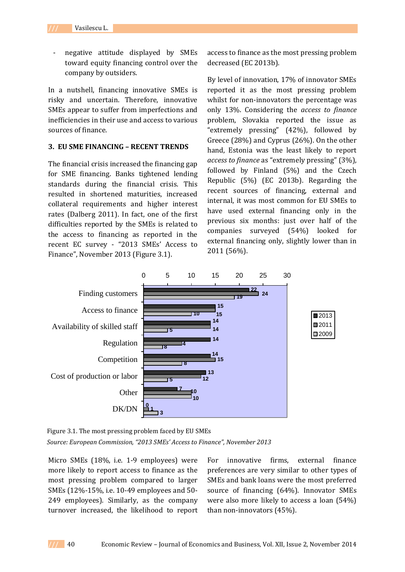Vasilescu L.

negative attitude displayed by SMEs toward equity financing control over the company by outsiders.

In a nutshell, financing innovative SMEs is risky and uncertain. Therefore, innovative SMEs appear to suffer from imperfections and inefficiencies in their use and access to various sources of finance.

## **3. EU SME FINANCING – RECENT TRENDS**

The financial crisis increased the financing gap for SME financing. Banks tightened lending standards during the financial crisis. This resulted in shortened maturities, increased collateral requirements and higher interest rates (Dalberg 2011). In fact, one of the first difficulties reported by the SMEs is related to the access to financing as reported in the recent EC survey - "2013 SMEs' Access to Finance", November 2013 (Figure 3.1).

access to finance as the most pressing problem decreased (EC 2013b).

By level of innovation, 17% of innovator SMEs reported it as the most pressing problem whilst for non-innovators the percentage was only 13%. Considering the *access to finance*  problem, Slovakia reported the issue as "extremely pressing" (42%), followed by Greece (28%) and Cyprus (26%). On the other hand, Estonia was the least likely to report *access to finance* as "extremely pressing" (3%), followed by Finland (5%) and the Czech Republic (5%) (EC 2013b). Regarding the recent sources of financing, external and internal, it was most common for EU SMEs to have used external financing only in the previous six months: just over half of the companies surveyed (54%) looked for external financing only, slightly lower than in 2011 (56%).



Figure 3.1. The most pressing problem faced by EU SMEs *Source: European Commission, "2013 SMEs' Access to Finance", November 2013*

Micro SMEs (18%, i.e. 1-9 employees) were more likely to report access to finance as the most pressing problem compared to larger SMEs (12%-15%, i.e. 10-49 employees and 50- 249 employees). Similarly, as the company turnover increased, the likelihood to report

For innovative firms, external finance preferences are very similar to other types of SMEs and bank loans were the most preferred source of financing (64%). Innovator SMEs were also more likely to access a loan (54%) than non-innovators (45%).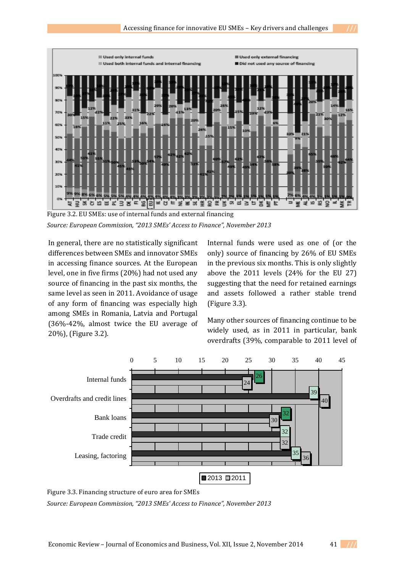

Figure 3.2. EU SMEs: use of internal funds and external financing *Source: European Commission, "2013 SMEs' Access to Finance", November 2013*

In general, there are no statistically significant differences between SMEs and innovator SMEs in accessing finance sources. At the European level, one in five firms (20%) had not used any source of financing in the past six months, the same level as seen in 2011. Avoidance of usage of any form of financing was especially high among SMEs in Romania, Latvia and Portugal (36%-42%, almost twice the EU average of 20%), (Figure 3.2).

Internal funds were used as one of (or the only) source of financing by 26% of EU SMEs in the previous six months. This is only slightly above the 2011 levels (24% for the EU 27) suggesting that the need for retained earnings and assets followed a rather stable trend (Figure 3.3).

Many other sources of financing continue to be widely used, as in 2011 in particular, bank overdrafts (39%, comparable to 2011 level of



Figure 3.3. Financing structure of euro area for SMEs

*Source: European Commission, "2013 SMEs' Access to Finance", November 2013*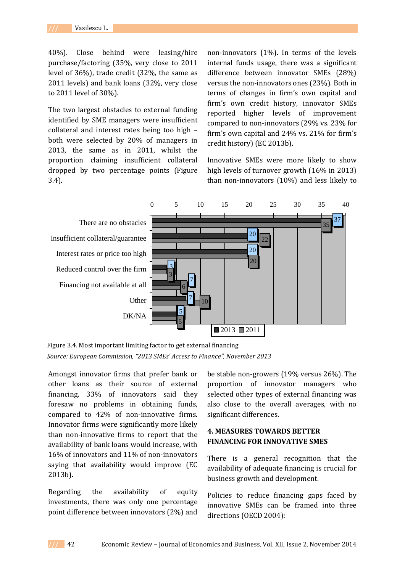40%). Close behind were leasing/hire purchase/factoring (35%, very close to 2011 level of 36%), trade credit (32%, the same as 2011 levels) and bank loans (32%, very close to 2011 level of 30%).

The two largest obstacles to external funding identified by SME managers were insufficient collateral and interest rates being too high – both were selected by 20% of managers in 2013, the same as in 2011, whilst the proportion claiming insufficient collateral dropped by two percentage points (Figure 3.4).

non-innovators (1%). In terms of the levels internal funds usage, there was a significant difference between innovator SMEs (28%) versus the non-innovators ones (23%). Both in terms of changes in firm's own capital and firm's own credit history, innovator SMEs reported higher levels of improvement compared to non-innovators (29% vs. 23% for firm's own capital and 24% vs. 21% for firm's credit history) (EC 2013b).

Innovative SMEs were more likely to show high levels of turnover growth (16% in 2013) than non-innovators (10%) and less likely to



Figure 3.4. Most important limiting factor to get external financing *Source: European Commission, "2013 SMEs' Access to Finance", November 2013*

Amongst innovator firms that prefer bank or other loans as their source of external financing, 33% of innovators said they foresaw no problems in obtaining funds, compared to 42% of non-innovative firms. Innovator firms were significantly more likely than non-innovative firms to report that the availability of bank loans would increase, with 16% of innovators and 11% of non-innovators saying that availability would improve (EC 2013b).

Regarding the availability of equity investments, there was only one percentage point difference between innovators (2%) and be stable non-growers (19% versus 26%). The proportion of innovator managers who selected other types of external financing was also close to the overall averages, with no significant differences.

# **4. MEASURES TOWARDS BETTER FINANCING FOR INNOVATIVE SMES**

There is a general recognition that the availability of adequate financing is crucial for business growth and development.

Policies to reduce financing gaps faced by innovative SMEs can be framed into three directions (OECD 2004):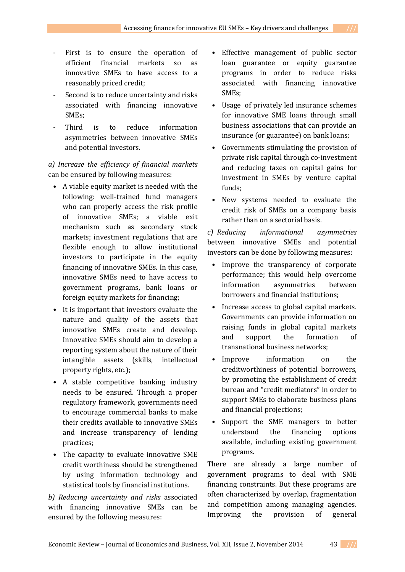- First is to ensure the operation of efficient financial markets so as innovative SMEs to have access to a reasonably priced credit;
- Second is to reduce uncertainty and risks associated with financing innovative SMEs;
- Third is to reduce information asymmetries between innovative SMEs and potential investors.

*a) Increase the efficiency of financial markets*  can be ensured by following measures:

- A viable equity market is needed with the following: well-trained fund managers who can properly access the risk profile of innovative SMEs; a viable exit mechanism such as secondary stock markets; investment regulations that are flexible enough to allow institutional investors to participate in the equity financing of innovative SMEs. In this case, innovative SMEs need to have access to government programs, bank loans or foreign equity markets for financing;
- It is important that investors evaluate the nature and quality of the assets that innovative SMEs create and develop. Innovative SMEs should aim to develop a reporting system about the nature of their intangible assets (skills, intellectual property rights, etc.);
- A stable competitive banking industry needs to be ensured. Through a proper regulatory framework, governments need to encourage commercial banks to make their credits available to innovative SMEs and increase transparency of lending practices;
- The capacity to evaluate innovative SME credit worthiness should be strengthened by using information technology and statistical tools by financial institutions.

*b) Reducing uncertainty and risks* associated with financing innovative SMEs can be ensured by the following measures:

- Effective management of public sector loan guarantee or equity guarantee programs in order to reduce risks associated with financing innovative SMEs;
- Usage of privately led insurance schemes for innovative SME loans through small business associations that can provide an insurance (or guarantee) on bank loans;
- Governments stimulating the provision of private risk capital through co-investment and reducing taxes on capital gains for investment in SMEs by venture capital funds;
- New systems needed to evaluate the credit risk of SMEs on a company basis rather than on a sectorial basis.

*c) Reducing informational asymmetries* between innovative SMEs and potential investors can be done by following measures:

- Improve the transparency of corporate performance; this would help overcome information asymmetries between borrowers and financial institutions;
- Increase access to global capital markets. Governments can provide information on raising funds in global capital markets and support the formation of transnational business networks;
- Improve information on the creditworthiness of potential borrowers, by promoting the establishment of credit bureau and "credit mediators" in order to support SMEs to elaborate business plans and financial projections;
- Support the SME managers to better understand the financing options available, including existing government programs.

There are already a large number of government programs to deal with SME financing constraints. But these programs are often characterized by overlap, fragmentation and competition among managing agencies. Improving the provision of general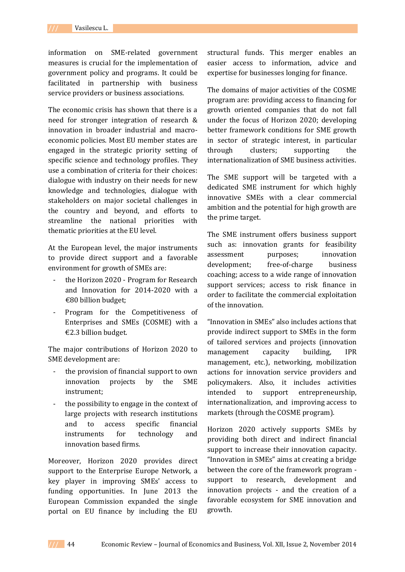information on SME-related government measures is crucial for the implementation of government policy and programs. It could be facilitated in partnership with business service providers or business associations.

The economic crisis has shown that there is a need for stronger integration of research & innovation in broader industrial and macroeconomic policies. Most EU member states are engaged in the strategic priority setting of specific science and technology profiles. They use a combination of criteria for their choices: dialogue with industry on their needs for new knowledge and technologies, dialogue with stakeholders on major societal challenges in the country and beyond, and efforts to streamline the national priorities with thematic priorities at the EU level.

At the European level, the major instruments to provide direct support and a favorable environment for growth of SMEs are:

- the Horizon 2020 Program for Research and Innovation for 2014-2020 with a €80 billion budget;
- Program for the Competitiveness of Enterprises and SMEs (COSME) with a €2.3 billion budget.

The major contributions of Horizon 2020 to SME development are:

- the provision of financial support to own innovation projects by the SME instrument;
- the possibility to engage in the context of large projects with research institutions and to access specific financial instruments for technology and innovation based firms.

Moreover, Horizon 2020 provides direct support to the Enterprise Europe Network, a key player in improving SMEs' access to funding opportunities. In June 2013 the European Commission expanded the single portal on EU finance by including the EU

structural funds. This merger enables an easier access to information, advice and expertise for businesses longing for finance.

The domains of major activities of the COSME program are: providing access to financing for growth oriented companies that do not fall under the focus of Horizon 2020; developing better framework conditions for SME growth in sector of strategic interest, in particular through clusters; supporting the internationalization of SME business activities.

The SME support will be targeted with a dedicated SME instrument for which highly innovative SMEs with a clear commercial ambition and the potential for high growth are the prime target.

The SME instrument offers business support such as: innovation grants for feasibility assessment purposes; innovation development; free-of-charge business coaching; access to a wide range of innovation support services; access to risk finance in order to facilitate the commercial exploitation of the innovation.

"Innovation in SMEs" also includes actions that provide indirect support to SMEs in the form of tailored services and projects (innovation management capacity building, IPR management, etc.), networking, mobilization actions for innovation service providers and policymakers. Also, it includes activities intended to support entrepreneurship, internationalization, and improving access to markets (through the COSME program).

Horizon 2020 actively supports SMEs by providing both direct and indirect financial support to increase their innovation capacity. "Innovation in SMEs" aims at creating a bridge between the core of the framework program support to research, development and innovation projects - and the creation of a favorable ecosystem for SME innovation and growth.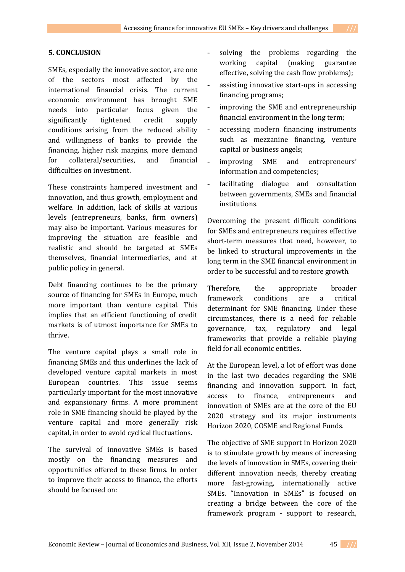## **5. CONCLUSION**

SMEs, especially the innovative sector, are one of the sectors most affected by the international financial crisis. The current economic environment has brought SME needs into particular focus given the significantly tightened credit supply conditions arising from the reduced ability and willingness of banks to provide the financing, higher risk margins, more demand for collateral/securities, and financial difficulties on investment.

These constraints hampered investment and innovation, and thus growth, employment and welfare. In addition, lack of skills at various levels (entrepreneurs, banks, firm owners) may also be important. Various measures for improving the situation are feasible and realistic and should be targeted at SMEs themselves, financial intermediaries, and at public policy in general.

Debt financing continues to be the primary source of financing for SMEs in Europe, much more important than venture capital. This implies that an efficient functioning of credit markets is of utmost importance for SMEs to thrive.

The venture capital plays a small role in financing SMEs and this underlines the lack of developed venture capital markets in most European countries. This issue seems particularly important for the most innovative and expansionary firms. A more prominent role in SME financing should be played by the venture capital and more generally risk capital, in order to avoid cyclical fluctuations.

The survival of innovative SMEs is based mostly on the financing measures and opportunities offered to these firms. In order to improve their access to finance, the efforts should be focused on:

- solving the problems regarding the working capital (making guarantee effective, solving the cash flow problems);
- assisting innovative start-ups in accessing financing programs;
- improving the SME and entrepreneurship financial environment in the long term;
- accessing modern financing instruments such as mezzanine financing, venture capital or business angels;
- improving SME and entrepreneurs' information and competencies;
- facilitating dialogue and consultation between governments, SMEs and financial institutions.

Overcoming the present difficult conditions for SMEs and entrepreneurs requires effective short-term measures that need, however, to be linked to structural improvements in the long term in the SME financial environment in order to be successful and to restore growth.

Therefore, the appropriate broader framework conditions are a critical determinant for SME financing. Under these circumstances, there is a need for reliable governance, tax, regulatory and legal frameworks that provide a reliable playing field for all economic entities.

At the European level, a lot of effort was done in the last two decades regarding the SME financing and innovation support. In fact, access to finance, entrepreneurs and innovation of SMEs are at the core of the EU 2020 strategy and its major instruments Horizon 2020, COSME and Regional Funds.

The objective of SME support in Horizon 2020 is to stimulate growth by means of increasing the levels of innovation in SMEs, covering their different innovation needs, thereby creating more fast-growing, internationally active SMEs. "Innovation in SMEs" is focused on creating a bridge between the core of the framework program - support to research,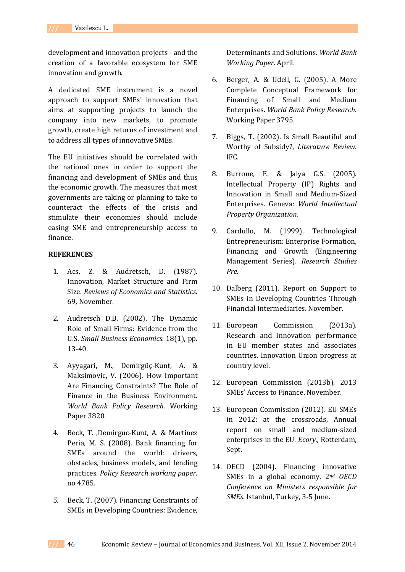development and innovation projects - and the creation of a favorable ecosystem for SME innovation and growth.

A dedicated SME instrument is a novel approach to support SMEs' innovation that aims at supporting projects to launch the company into new markets, to promote growth, create high returns of investment and to address all types of innovative SMEs.

The EU initiatives should be correlated with the national ones in order to support the financing and development of SMEs and thus the economic growth. The measures that most governments are taking or planning to take to counteract the effects of the crisis and stimulate their economies should include easing SME and entrepreneurship access to finance.

## **REFERENCES**

- 1. Acs, Z. & Audretsch, D. (1987). Innovation, Market Structure and Firm Size. *Reviews of Economics and Statistics.* 69, November.
- 2. Audretsch D.B. (2002). The Dynamic Role of Small Firms: Evidence from the U.S. *Small Business Economics.* 18(1), pp. 13-40.
- 3. Ayyagari, M., Demirgüç-Kunt, A. & Maksimovic, V. (2006). How Important Are Financing Constraints? The Role of Finance in the Business Environment. *World Bank Policy Research*. Working Paper 3820.
- 4. Beck, T. ,Demirguc-Kunt, A. & Martinez Peria, M. S. (2008). Bank financing for SMEs around the world: drivers, obstacles, business models, and lending practices. *Policy Research working paper*. no 4785.
- 5. Beck, T. (2007). Financing Constraints of SMEs in Developing Countries: Evidence,

Determinants and Solutions. *World Bank Working Paper*. April.

- 6. Berger, A. & Udell, G. (2005). A More Complete Conceptual Framework for Financing of Small and Medium Enterprises. *World Bank Policy Research.* Working Paper 3795.
- 7. Biggs, T. (2002). Is Small Beautiful and Worthy of Subsidy?, *Literature Review*. IFC.
- 8. Burrone, E. & Jaiya G.S. (2005). Intellectual Property (IP) Rights and Innovation in Small and Medium-Sized Enterprises. Geneva: *World Intellectual Property Organization.*
- 9. Cardullo, M. (1999). Technological Entrepreneurism: Enterprise Formation, Financing and Growth (Engineering Management Series). *Research Studies Pre.*
- 10. Dalberg (2011). Report on Support to SMEs in Developing Countries Through Financial Intermediaries. November.
- 11. European Commission (2013a). Research and Innovation performance in EU member states and associates countries. Innovation Union progress at country level.
- 12. European Commission (2013b). 2013 SMEs' Access to Finance. November.
- 13. European Commission (2012). EU SMEs in 2012: at the crossroads, Annual report on small and medium-sized enterprises in the EU. *Ecory.,* Rotterdam, Sept.
- 14. OECD (2004). Financing innovative SMEs in a global economy. *2nd OECD Conference on Ministers responsible for SMEs*. Istanbul, Turkey, 3-5 June.